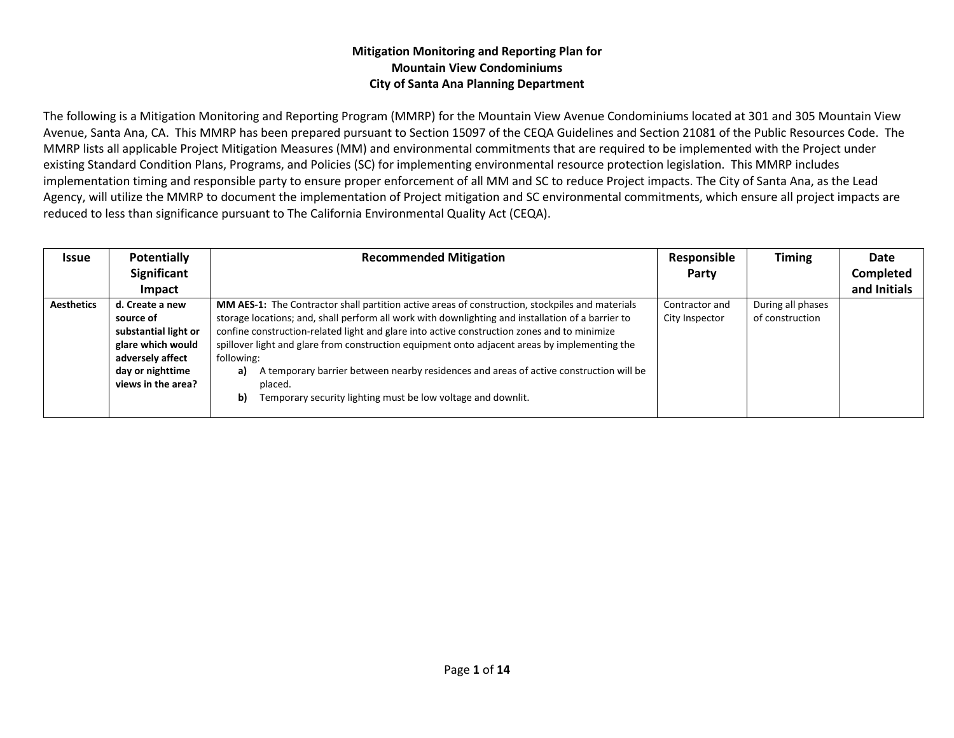The following is a Mitigation Monitoring and Reporting Program (MMRP) for the Mountain View Avenue Condominiums located at 301 and 305 Mountain View Avenue, Santa Ana, CA. This MMRP has been prepared pursuant to Section 15097 of the CEQA Guidelines and Section 21081 of the Public Resources Code. The MMRP lists all applicable Project Mitigation Measures (MM) and environmental commitments that are required to be implemented with the Project under existing Standard Condition Plans, Programs, and Policies (SC) for implementing environmental resource protection legislation. This MMRP includes implementation timing and responsible party to ensure proper enforcement of all MM and SC to reduce Project impacts. The City of Santa Ana, as the Lead Agency, will utilize the MMRP to document the implementation of Project mitigation and SC environmental commitments, which ensure all project impacts are reduced to less than significance pursuant to The California Environmental Quality Act (CEQA).

| <b>Issue</b>      | <b>Potentially</b>                                                                                                                      | <b>Recommended Mitigation</b>                                                                                                                                                                                                                                                                                                                                                                                                                                                                                                 | Responsible                      | <b>Timing</b>                        | Date             |
|-------------------|-----------------------------------------------------------------------------------------------------------------------------------------|-------------------------------------------------------------------------------------------------------------------------------------------------------------------------------------------------------------------------------------------------------------------------------------------------------------------------------------------------------------------------------------------------------------------------------------------------------------------------------------------------------------------------------|----------------------------------|--------------------------------------|------------------|
|                   | Significant                                                                                                                             |                                                                                                                                                                                                                                                                                                                                                                                                                                                                                                                               | Party                            |                                      | <b>Completed</b> |
|                   | <b>Impact</b>                                                                                                                           |                                                                                                                                                                                                                                                                                                                                                                                                                                                                                                                               |                                  |                                      | and Initials     |
| <b>Aesthetics</b> | d. Create a new<br>source of<br>substantial light or<br>glare which would<br>adversely affect<br>day or nighttime<br>views in the area? | MM AES-1: The Contractor shall partition active areas of construction, stockpiles and materials<br>storage locations; and, shall perform all work with downlighting and installation of a barrier to<br>confine construction-related light and glare into active construction zones and to minimize<br>spillover light and glare from construction equipment onto adjacent areas by implementing the<br>following:<br>A temporary barrier between nearby residences and areas of active construction will be<br>a)<br>placed. | Contractor and<br>City Inspector | During all phases<br>of construction |                  |
|                   |                                                                                                                                         | Temporary security lighting must be low voltage and downlit.<br>b)                                                                                                                                                                                                                                                                                                                                                                                                                                                            |                                  |                                      |                  |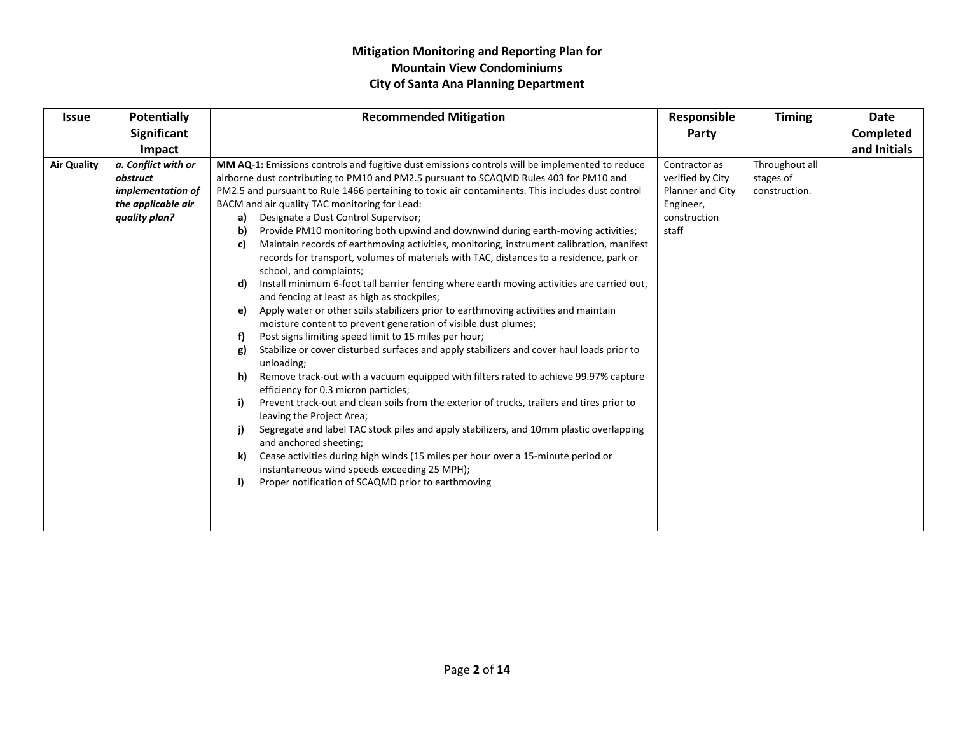| <b>Issue</b>       | <b>Potentially</b>       | <b>Recommended Mitigation</b>                                                                                                            | Responsible      | <b>Timing</b>  | <b>Date</b>  |
|--------------------|--------------------------|------------------------------------------------------------------------------------------------------------------------------------------|------------------|----------------|--------------|
|                    | Significant              |                                                                                                                                          | Party            |                | Completed    |
|                    | Impact                   |                                                                                                                                          |                  |                | and Initials |
| <b>Air Quality</b> | a. Conflict with or      | MM AQ-1: Emissions controls and fugitive dust emissions controls will be implemented to reduce                                           | Contractor as    | Throughout all |              |
|                    | obstruct                 | airborne dust contributing to PM10 and PM2.5 pursuant to SCAQMD Rules 403 for PM10 and                                                   | verified by City | stages of      |              |
|                    | <i>implementation of</i> | PM2.5 and pursuant to Rule 1466 pertaining to toxic air contaminants. This includes dust control                                         | Planner and City | construction.  |              |
|                    | the applicable air       | BACM and air quality TAC monitoring for Lead:                                                                                            | Engineer,        |                |              |
|                    | quality plan?            | Designate a Dust Control Supervisor;<br>a)                                                                                               | construction     |                |              |
|                    |                          | Provide PM10 monitoring both upwind and downwind during earth-moving activities;<br>b)                                                   | staff            |                |              |
|                    |                          | Maintain records of earthmoving activities, monitoring, instrument calibration, manifest<br>c)                                           |                  |                |              |
|                    |                          | records for transport, volumes of materials with TAC, distances to a residence, park or                                                  |                  |                |              |
|                    |                          | school, and complaints;                                                                                                                  |                  |                |              |
|                    |                          | Install minimum 6-foot tall barrier fencing where earth moving activities are carried out,<br>d)                                         |                  |                |              |
|                    |                          | and fencing at least as high as stockpiles;<br>Apply water or other soils stabilizers prior to earthmoving activities and maintain<br>e) |                  |                |              |
|                    |                          | moisture content to prevent generation of visible dust plumes;                                                                           |                  |                |              |
|                    |                          | Post signs limiting speed limit to 15 miles per hour;                                                                                    |                  |                |              |
|                    |                          | Stabilize or cover disturbed surfaces and apply stabilizers and cover haul loads prior to<br>g)                                          |                  |                |              |
|                    |                          | unloading;                                                                                                                               |                  |                |              |
|                    |                          | Remove track-out with a vacuum equipped with filters rated to achieve 99.97% capture<br>h)                                               |                  |                |              |
|                    |                          | efficiency for 0.3 micron particles;                                                                                                     |                  |                |              |
|                    |                          | Prevent track-out and clean soils from the exterior of trucks, trailers and tires prior to<br>i)                                         |                  |                |              |
|                    |                          | leaving the Project Area;                                                                                                                |                  |                |              |
|                    |                          | Segregate and label TAC stock piles and apply stabilizers, and 10mm plastic overlapping<br>j)                                            |                  |                |              |
|                    |                          | and anchored sheeting;                                                                                                                   |                  |                |              |
|                    |                          | Cease activities during high winds (15 miles per hour over a 15-minute period or<br>k)                                                   |                  |                |              |
|                    |                          | instantaneous wind speeds exceeding 25 MPH);                                                                                             |                  |                |              |
|                    |                          | Proper notification of SCAQMD prior to earthmoving                                                                                       |                  |                |              |
|                    |                          |                                                                                                                                          |                  |                |              |
|                    |                          |                                                                                                                                          |                  |                |              |
|                    |                          |                                                                                                                                          |                  |                |              |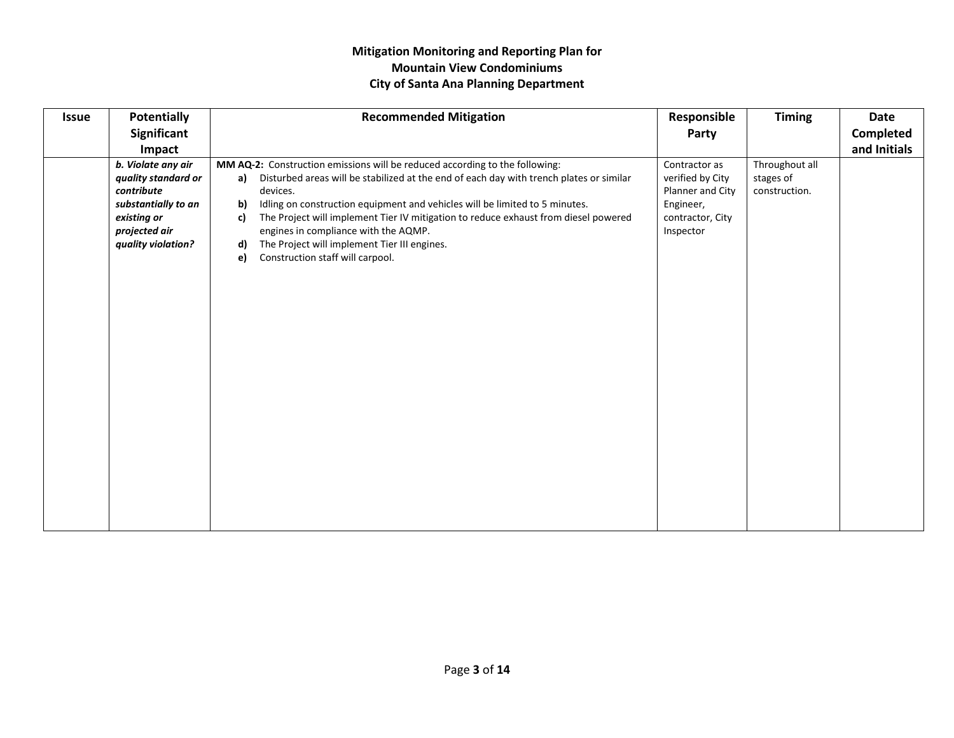| <b>Issue</b> | <b>Potentially</b>                                                                                                                   | <b>Recommended Mitigation</b>                                                                                                                                                                                                                                                                                                                                                                                                                                                                                      | Responsible                                                                                         | <b>Timing</b>                                | Date         |
|--------------|--------------------------------------------------------------------------------------------------------------------------------------|--------------------------------------------------------------------------------------------------------------------------------------------------------------------------------------------------------------------------------------------------------------------------------------------------------------------------------------------------------------------------------------------------------------------------------------------------------------------------------------------------------------------|-----------------------------------------------------------------------------------------------------|----------------------------------------------|--------------|
|              | Significant                                                                                                                          |                                                                                                                                                                                                                                                                                                                                                                                                                                                                                                                    | Party                                                                                               |                                              | Completed    |
|              | Impact                                                                                                                               |                                                                                                                                                                                                                                                                                                                                                                                                                                                                                                                    |                                                                                                     |                                              |              |
|              | b. Violate any air<br>quality standard or<br>contribute<br>substantially to an<br>existing or<br>projected air<br>quality violation? | MM AQ-2: Construction emissions will be reduced according to the following:<br>Disturbed areas will be stabilized at the end of each day with trench plates or similar<br>a)<br>devices.<br>Idling on construction equipment and vehicles will be limited to 5 minutes.<br>b)<br>The Project will implement Tier IV mitigation to reduce exhaust from diesel powered<br>c)<br>engines in compliance with the AQMP.<br>The Project will implement Tier III engines.<br>d)<br>Construction staff will carpool.<br>e) | Contractor as<br>verified by City<br>Planner and City<br>Engineer,<br>contractor, City<br>Inspector | Throughout all<br>stages of<br>construction. | and Initials |
|              |                                                                                                                                      |                                                                                                                                                                                                                                                                                                                                                                                                                                                                                                                    |                                                                                                     |                                              |              |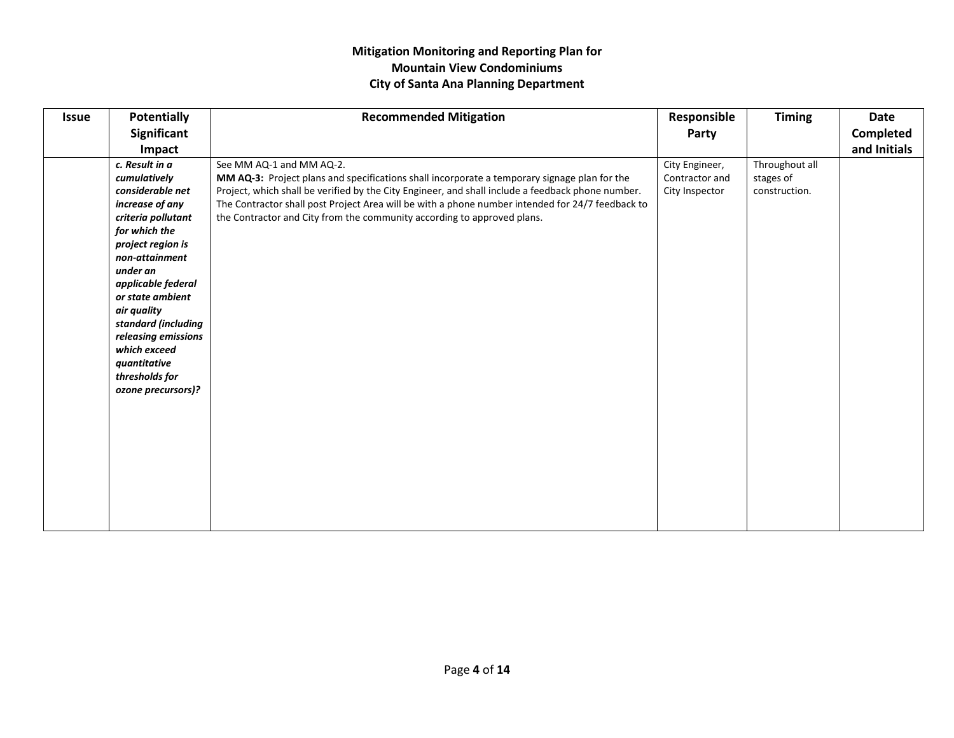| <b>Issue</b> | <b>Potentially</b><br>Significant<br>Impact                                                                                                                                                                                                                                                                                                    | <b>Recommended Mitigation</b>                                                                                                                                                                                                                                                                                                                                                                                | Responsible<br>Party                               | <b>Timing</b>                                | <b>Date</b><br>Completed<br>and Initials |
|--------------|------------------------------------------------------------------------------------------------------------------------------------------------------------------------------------------------------------------------------------------------------------------------------------------------------------------------------------------------|--------------------------------------------------------------------------------------------------------------------------------------------------------------------------------------------------------------------------------------------------------------------------------------------------------------------------------------------------------------------------------------------------------------|----------------------------------------------------|----------------------------------------------|------------------------------------------|
|              | c. Result in a<br>cumulatively<br>considerable net<br>increase of any<br>criteria pollutant<br>for which the<br>project region is<br>non-attainment<br>under an<br>applicable federal<br>or state ambient<br>air quality<br>standard (including<br>releasing emissions<br>which exceed<br>quantitative<br>thresholds for<br>ozone precursors)? | See MM AQ-1 and MM AQ-2.<br>MM AQ-3: Project plans and specifications shall incorporate a temporary signage plan for the<br>Project, which shall be verified by the City Engineer, and shall include a feedback phone number.<br>The Contractor shall post Project Area will be with a phone number intended for 24/7 feedback to<br>the Contractor and City from the community according to approved plans. | City Engineer,<br>Contractor and<br>City Inspector | Throughout all<br>stages of<br>construction. |                                          |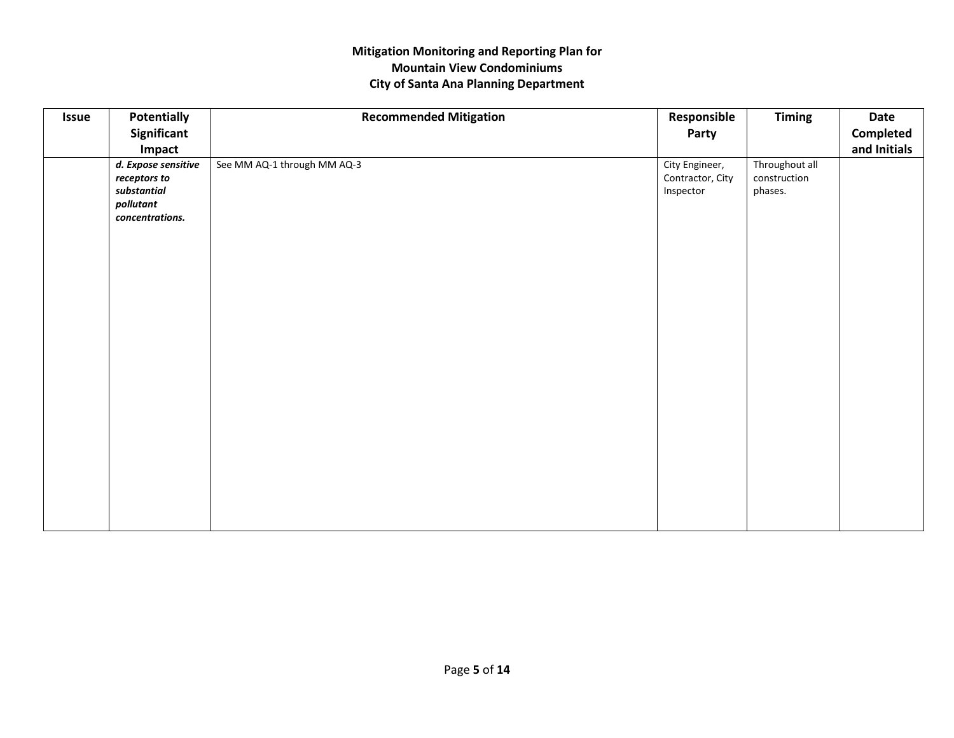| <b>Issue</b> | <b>Potentially</b><br>Significant                                                  | <b>Recommended Mitigation</b> | Responsible<br>Party                            | <b>Timing</b>                             | Date<br>Completed |
|--------------|------------------------------------------------------------------------------------|-------------------------------|-------------------------------------------------|-------------------------------------------|-------------------|
|              | Impact                                                                             |                               |                                                 |                                           | and Initials      |
|              | d. Expose sensitive<br>receptors to<br>substantial<br>pollutant<br>concentrations. | See MM AQ-1 through MM AQ-3   | City Engineer,<br>Contractor, City<br>Inspector | Throughout all<br>construction<br>phases. |                   |
|              |                                                                                    |                               |                                                 |                                           |                   |
|              |                                                                                    |                               |                                                 |                                           |                   |
|              |                                                                                    |                               |                                                 |                                           |                   |
|              |                                                                                    |                               |                                                 |                                           |                   |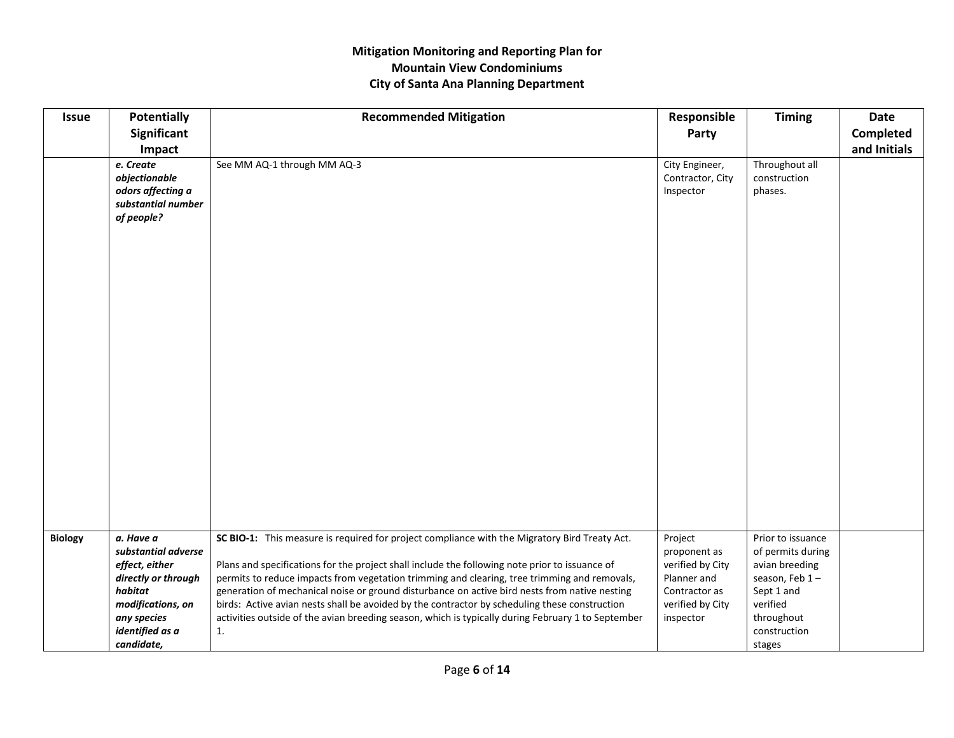| <b>Issue</b>   | <b>Potentially</b><br><b>Significant</b>                                                                                                                  | <b>Recommended Mitigation</b>                                                                                                                                                                                                                                                                                                                                                                                                                                                                                                                                                                                 | Responsible<br>Party                                                                                         | <b>Timing</b>                                                                                                                                  | <b>Date</b><br>Completed |
|----------------|-----------------------------------------------------------------------------------------------------------------------------------------------------------|---------------------------------------------------------------------------------------------------------------------------------------------------------------------------------------------------------------------------------------------------------------------------------------------------------------------------------------------------------------------------------------------------------------------------------------------------------------------------------------------------------------------------------------------------------------------------------------------------------------|--------------------------------------------------------------------------------------------------------------|------------------------------------------------------------------------------------------------------------------------------------------------|--------------------------|
|                | Impact<br>e. Create<br>objectionable<br>odors affecting a<br>substantial number<br>of people?                                                             | See MM AQ-1 through MM AQ-3                                                                                                                                                                                                                                                                                                                                                                                                                                                                                                                                                                                   | City Engineer,<br>Contractor, City<br>Inspector                                                              | Throughout all<br>construction<br>phases.                                                                                                      | and Initials             |
| <b>Biology</b> | a. Have a<br>substantial adverse<br>effect, either<br>directly or through<br>habitat<br>modifications, on<br>any species<br>identified as a<br>candidate, | SC BIO-1: This measure is required for project compliance with the Migratory Bird Treaty Act.<br>Plans and specifications for the project shall include the following note prior to issuance of<br>permits to reduce impacts from vegetation trimming and clearing, tree trimming and removals,<br>generation of mechanical noise or ground disturbance on active bird nests from native nesting<br>birds: Active avian nests shall be avoided by the contractor by scheduling these construction<br>activities outside of the avian breeding season, which is typically during February 1 to September<br>1. | Project<br>proponent as<br>verified by City<br>Planner and<br>Contractor as<br>verified by City<br>inspector | Prior to issuance<br>of permits during<br>avian breeding<br>season, Feb $1-$<br>Sept 1 and<br>verified<br>throughout<br>construction<br>stages |                          |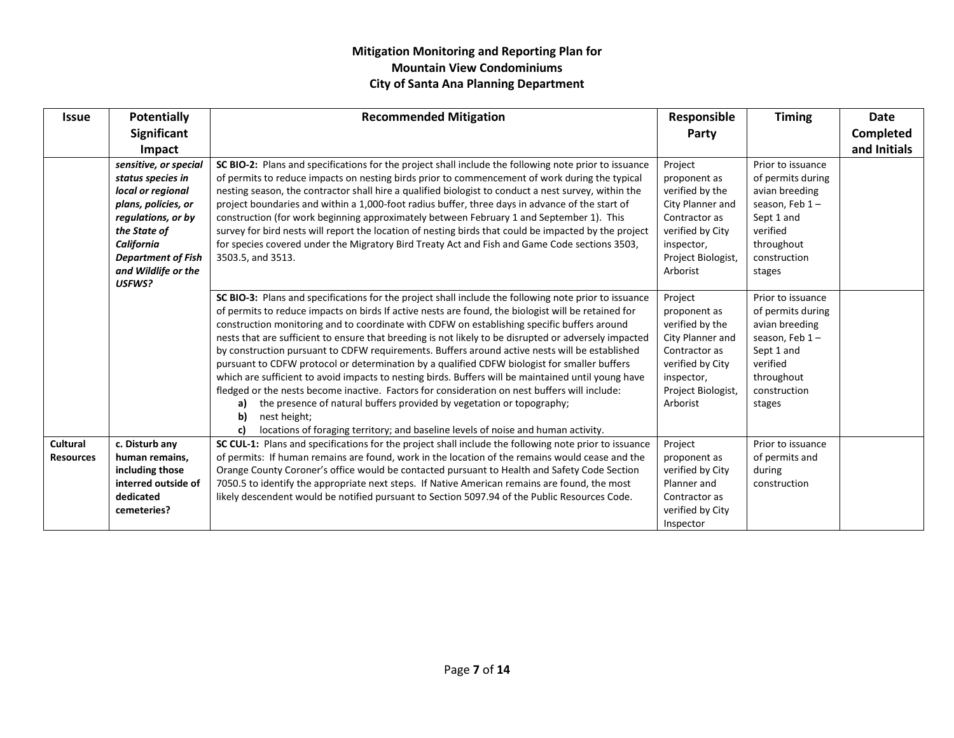| <b>Issue</b>                 | <b>Potentially</b>                                                                                                                                                                                              | <b>Recommended Mitigation</b>                                                                                                                                                                                                                                                                                                                                                                                                                                                                                                                                                                                                                                                                                                                                                                                                                                                                                                                                                                                            | Responsible                                                                                                                                         | <b>Timing</b>                                                                                                                                  | Date         |
|------------------------------|-----------------------------------------------------------------------------------------------------------------------------------------------------------------------------------------------------------------|--------------------------------------------------------------------------------------------------------------------------------------------------------------------------------------------------------------------------------------------------------------------------------------------------------------------------------------------------------------------------------------------------------------------------------------------------------------------------------------------------------------------------------------------------------------------------------------------------------------------------------------------------------------------------------------------------------------------------------------------------------------------------------------------------------------------------------------------------------------------------------------------------------------------------------------------------------------------------------------------------------------------------|-----------------------------------------------------------------------------------------------------------------------------------------------------|------------------------------------------------------------------------------------------------------------------------------------------------|--------------|
|                              | <b>Significant</b>                                                                                                                                                                                              |                                                                                                                                                                                                                                                                                                                                                                                                                                                                                                                                                                                                                                                                                                                                                                                                                                                                                                                                                                                                                          | Party                                                                                                                                               |                                                                                                                                                | Completed    |
|                              | Impact                                                                                                                                                                                                          |                                                                                                                                                                                                                                                                                                                                                                                                                                                                                                                                                                                                                                                                                                                                                                                                                                                                                                                                                                                                                          |                                                                                                                                                     |                                                                                                                                                | and Initials |
|                              | sensitive, or special<br>status species in<br>local or regional<br>plans, policies, or<br>regulations, or by<br>the State of<br><b>California</b><br><b>Department of Fish</b><br>and Wildlife or the<br>USFWS? | SC BIO-2: Plans and specifications for the project shall include the following note prior to issuance<br>of permits to reduce impacts on nesting birds prior to commencement of work during the typical<br>nesting season, the contractor shall hire a qualified biologist to conduct a nest survey, within the<br>project boundaries and within a 1,000-foot radius buffer, three days in advance of the start of<br>construction (for work beginning approximately between February 1 and September 1). This<br>survey for bird nests will report the location of nesting birds that could be impacted by the project<br>for species covered under the Migratory Bird Treaty Act and Fish and Game Code sections 3503,<br>3503.5, and 3513.                                                                                                                                                                                                                                                                            | Project<br>proponent as<br>verified by the<br>City Planner and<br>Contractor as<br>verified by City<br>inspector,<br>Project Biologist,<br>Arborist | Prior to issuance<br>of permits during<br>avian breeding<br>season, Feb 1-<br>Sept 1 and<br>verified<br>throughout<br>construction<br>stages   |              |
|                              |                                                                                                                                                                                                                 | SC BIO-3: Plans and specifications for the project shall include the following note prior to issuance<br>of permits to reduce impacts on birds If active nests are found, the biologist will be retained for<br>construction monitoring and to coordinate with CDFW on establishing specific buffers around<br>nests that are sufficient to ensure that breeding is not likely to be disrupted or adversely impacted<br>by construction pursuant to CDFW requirements. Buffers around active nests will be established<br>pursuant to CDFW protocol or determination by a qualified CDFW biologist for smaller buffers<br>which are sufficient to avoid impacts to nesting birds. Buffers will be maintained until young have<br>fledged or the nests become inactive. Factors for consideration on nest buffers will include:<br>the presence of natural buffers provided by vegetation or topography;<br>a)<br>b)<br>nest height;<br>locations of foraging territory; and baseline levels of noise and human activity. | Project<br>proponent as<br>verified by the<br>City Planner and<br>Contractor as<br>verified by City<br>inspector,<br>Project Biologist,<br>Arborist | Prior to issuance<br>of permits during<br>avian breeding<br>season, Feb $1-$<br>Sept 1 and<br>verified<br>throughout<br>construction<br>stages |              |
| Cultural<br><b>Resources</b> | c. Disturb any<br>human remains,<br>including those<br>interred outside of<br>dedicated<br>cemeteries?                                                                                                          | SC CUL-1: Plans and specifications for the project shall include the following note prior to issuance<br>of permits: If human remains are found, work in the location of the remains would cease and the<br>Orange County Coroner's office would be contacted pursuant to Health and Safety Code Section<br>7050.5 to identify the appropriate next steps. If Native American remains are found, the most<br>likely descendent would be notified pursuant to Section 5097.94 of the Public Resources Code.                                                                                                                                                                                                                                                                                                                                                                                                                                                                                                               | Project<br>proponent as<br>verified by City<br>Planner and<br>Contractor as<br>verified by City<br>Inspector                                        | Prior to issuance<br>of permits and<br>during<br>construction                                                                                  |              |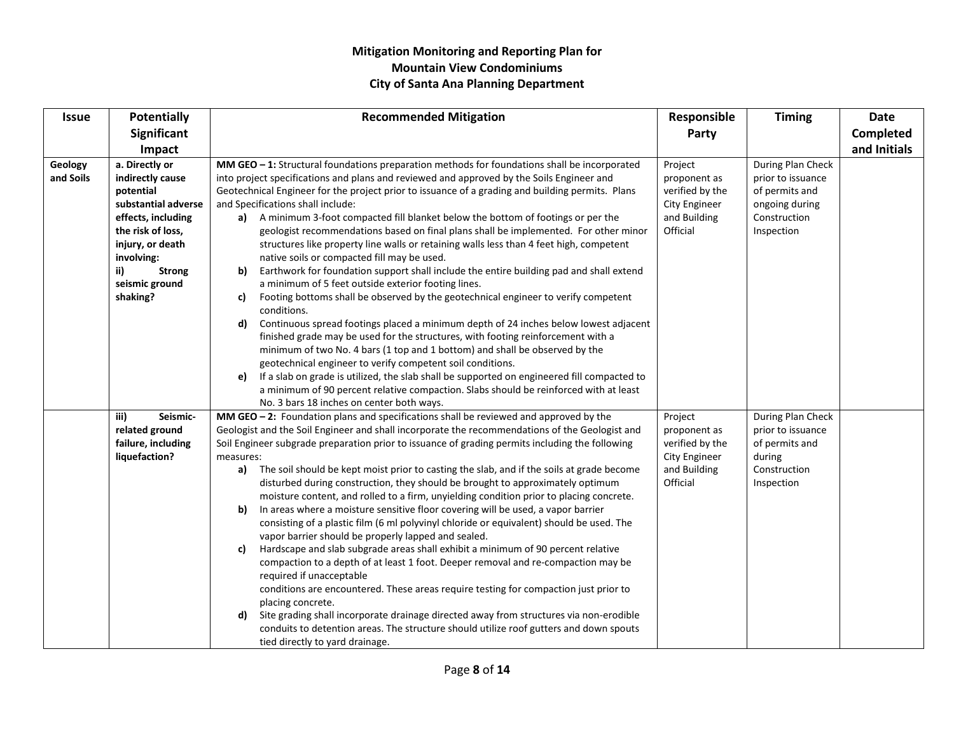| <b>Recommended Mitigation</b>                                                                                                                                                                                                                                                                                                                                                                                                                                                                                                                                                                                                                                                                                                                                                                                                                                                                                                                                                                                                                                                                                                                                                                                                                                     | Responsible                                                                                                                                                              | <b>Timing</b>                                                                                            | <b>Date</b>       |
|-------------------------------------------------------------------------------------------------------------------------------------------------------------------------------------------------------------------------------------------------------------------------------------------------------------------------------------------------------------------------------------------------------------------------------------------------------------------------------------------------------------------------------------------------------------------------------------------------------------------------------------------------------------------------------------------------------------------------------------------------------------------------------------------------------------------------------------------------------------------------------------------------------------------------------------------------------------------------------------------------------------------------------------------------------------------------------------------------------------------------------------------------------------------------------------------------------------------------------------------------------------------|--------------------------------------------------------------------------------------------------------------------------------------------------------------------------|----------------------------------------------------------------------------------------------------------|-------------------|
|                                                                                                                                                                                                                                                                                                                                                                                                                                                                                                                                                                                                                                                                                                                                                                                                                                                                                                                                                                                                                                                                                                                                                                                                                                                                   |                                                                                                                                                                          |                                                                                                          | Completed         |
|                                                                                                                                                                                                                                                                                                                                                                                                                                                                                                                                                                                                                                                                                                                                                                                                                                                                                                                                                                                                                                                                                                                                                                                                                                                                   |                                                                                                                                                                          |                                                                                                          |                   |
| MM GEO - 1: Structural foundations preparation methods for foundations shall be incorporated<br>into project specifications and plans and reviewed and approved by the Soils Engineer and<br>Geotechnical Engineer for the project prior to issuance of a grading and building permits. Plans<br>and Specifications shall include:<br>A minimum 3-foot compacted fill blanket below the bottom of footings or per the<br>a) —<br>geologist recommendations based on final plans shall be implemented. For other minor<br>structures like property line walls or retaining walls less than 4 feet high, competent<br>native soils or compacted fill may be used.<br>Earthwork for foundation support shall include the entire building pad and shall extend<br>b)<br>a minimum of 5 feet outside exterior footing lines.<br>Footing bottoms shall be observed by the geotechnical engineer to verify competent<br>c)<br>conditions.<br>Continuous spread footings placed a minimum depth of 24 inches below lowest adjacent<br>d)<br>finished grade may be used for the structures, with footing reinforcement with a<br>minimum of two No. 4 bars (1 top and 1 bottom) and shall be observed by the<br>geotechnical engineer to verify competent soil conditions. | Project<br>proponent as<br>verified by the<br><b>City Engineer</b><br>and Building<br>Official                                                                           | During Plan Check<br>prior to issuance<br>of permits and<br>ongoing during<br>Construction<br>Inspection | and Initials      |
| If a slab on grade is utilized, the slab shall be supported on engineered fill compacted to<br>e)<br>a minimum of 90 percent relative compaction. Slabs should be reinforced with at least                                                                                                                                                                                                                                                                                                                                                                                                                                                                                                                                                                                                                                                                                                                                                                                                                                                                                                                                                                                                                                                                        |                                                                                                                                                                          |                                                                                                          |                   |
|                                                                                                                                                                                                                                                                                                                                                                                                                                                                                                                                                                                                                                                                                                                                                                                                                                                                                                                                                                                                                                                                                                                                                                                                                                                                   |                                                                                                                                                                          |                                                                                                          |                   |
| Geologist and the Soil Engineer and shall incorporate the recommendations of the Geologist and<br>Soil Engineer subgrade preparation prior to issuance of grading permits including the following<br>measures:<br>The soil should be kept moist prior to casting the slab, and if the soils at grade become<br>a)<br>disturbed during construction, they should be brought to approximately optimum<br>moisture content, and rolled to a firm, unyielding condition prior to placing concrete.<br>In areas where a moisture sensitive floor covering will be used, a vapor barrier<br>b)<br>consisting of a plastic film (6 ml polyvinyl chloride or equivalent) should be used. The<br>vapor barrier should be properly lapped and sealed.<br>Hardscape and slab subgrade areas shall exhibit a minimum of 90 percent relative<br>C)<br>compaction to a depth of at least 1 foot. Deeper removal and re-compaction may be<br>required if unacceptable<br>conditions are encountered. These areas require testing for compaction just prior to<br>placing concrete.<br>Site grading shall incorporate drainage directed away from structures via non-erodible<br>d)<br>conduits to detention areas. The structure should utilize roof gutters and down spouts     | proponent as<br>verified by the<br><b>City Engineer</b><br>and Building<br>Official                                                                                      | prior to issuance<br>of permits and<br>during<br>Construction<br>Inspection                              |                   |
|                                                                                                                                                                                                                                                                                                                                                                                                                                                                                                                                                                                                                                                                                                                                                                                                                                                                                                                                                                                                                                                                                                                                                                                                                                                                   | No. 3 bars 18 inches on center both ways.<br>MM $GEO - 2$ : Foundation plans and specifications shall be reviewed and approved by the<br>tied directly to yard drainage. | Party<br>Project                                                                                         | During Plan Check |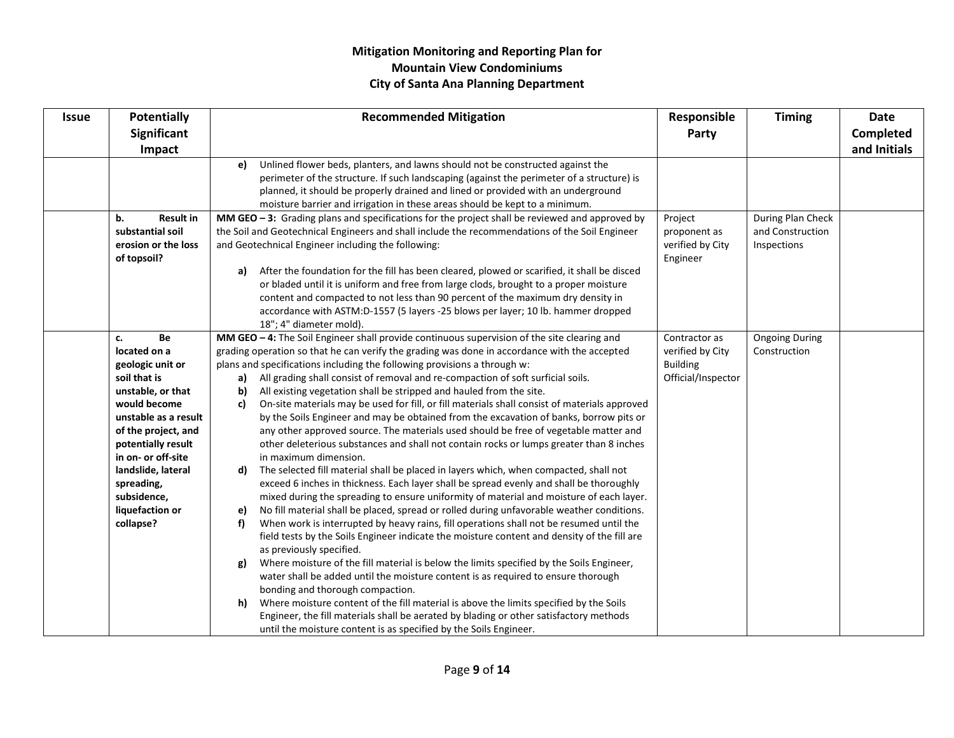| <b>Issue</b> | <b>Potentially</b>                 | <b>Recommended Mitigation</b>                                                                                                                                                                                                                                                                                                                                                                | Responsible                  | <b>Timing</b>         | <b>Date</b>      |
|--------------|------------------------------------|----------------------------------------------------------------------------------------------------------------------------------------------------------------------------------------------------------------------------------------------------------------------------------------------------------------------------------------------------------------------------------------------|------------------------------|-----------------------|------------------|
|              | Significant                        |                                                                                                                                                                                                                                                                                                                                                                                              | Party                        |                       | <b>Completed</b> |
|              | Impact                             |                                                                                                                                                                                                                                                                                                                                                                                              |                              |                       | and Initials     |
|              |                                    | Unlined flower beds, planters, and lawns should not be constructed against the<br>e)<br>perimeter of the structure. If such landscaping (against the perimeter of a structure) is<br>planned, it should be properly drained and lined or provided with an underground<br>moisture barrier and irrigation in these areas should be kept to a minimum.                                         |                              |                       |                  |
|              | <b>Result in</b><br>b.             | MM GEO - 3: Grading plans and specifications for the project shall be reviewed and approved by                                                                                                                                                                                                                                                                                               | Project                      | During Plan Check     |                  |
|              | substantial soil                   | the Soil and Geotechnical Engineers and shall include the recommendations of the Soil Engineer                                                                                                                                                                                                                                                                                               | proponent as                 | and Construction      |                  |
|              | erosion or the loss<br>of topsoil? | and Geotechnical Engineer including the following:                                                                                                                                                                                                                                                                                                                                           | verified by City<br>Engineer | Inspections           |                  |
|              |                                    | After the foundation for the fill has been cleared, plowed or scarified, it shall be disced<br>a)<br>or bladed until it is uniform and free from large clods, brought to a proper moisture<br>content and compacted to not less than 90 percent of the maximum dry density in<br>accordance with ASTM:D-1557 (5 layers -25 blows per layer; 10 lb. hammer dropped<br>18"; 4" diameter mold). |                              |                       |                  |
|              | Be<br>c.                           | MM GEO - 4: The Soil Engineer shall provide continuous supervision of the site clearing and                                                                                                                                                                                                                                                                                                  | Contractor as                | <b>Ongoing During</b> |                  |
|              | located on a                       | grading operation so that he can verify the grading was done in accordance with the accepted                                                                                                                                                                                                                                                                                                 | verified by City             | Construction          |                  |
|              | geologic unit or                   | plans and specifications including the following provisions a through w:                                                                                                                                                                                                                                                                                                                     | <b>Building</b>              |                       |                  |
|              | soil that is                       | All grading shall consist of removal and re-compaction of soft surficial soils.<br>a)                                                                                                                                                                                                                                                                                                        | Official/Inspector           |                       |                  |
|              | unstable, or that                  | All existing vegetation shall be stripped and hauled from the site.<br>b)                                                                                                                                                                                                                                                                                                                    |                              |                       |                  |
|              | would become                       | On-site materials may be used for fill, or fill materials shall consist of materials approved<br>c)                                                                                                                                                                                                                                                                                          |                              |                       |                  |
|              | unstable as a result               | by the Soils Engineer and may be obtained from the excavation of banks, borrow pits or                                                                                                                                                                                                                                                                                                       |                              |                       |                  |
|              | of the project, and                | any other approved source. The materials used should be free of vegetable matter and                                                                                                                                                                                                                                                                                                         |                              |                       |                  |
|              | potentially result                 | other deleterious substances and shall not contain rocks or lumps greater than 8 inches                                                                                                                                                                                                                                                                                                      |                              |                       |                  |
|              | in on- or off-site                 | in maximum dimension.                                                                                                                                                                                                                                                                                                                                                                        |                              |                       |                  |
|              | landslide, lateral<br>spreading,   | The selected fill material shall be placed in layers which, when compacted, shall not<br>d)<br>exceed 6 inches in thickness. Each layer shall be spread evenly and shall be thoroughly                                                                                                                                                                                                       |                              |                       |                  |
|              | subsidence,                        | mixed during the spreading to ensure uniformity of material and moisture of each layer.                                                                                                                                                                                                                                                                                                      |                              |                       |                  |
|              | liquefaction or                    | No fill material shall be placed, spread or rolled during unfavorable weather conditions.<br>e)                                                                                                                                                                                                                                                                                              |                              |                       |                  |
|              | collapse?                          | When work is interrupted by heavy rains, fill operations shall not be resumed until the<br>f)                                                                                                                                                                                                                                                                                                |                              |                       |                  |
|              |                                    | field tests by the Soils Engineer indicate the moisture content and density of the fill are                                                                                                                                                                                                                                                                                                  |                              |                       |                  |
|              |                                    | as previously specified.                                                                                                                                                                                                                                                                                                                                                                     |                              |                       |                  |
|              |                                    | Where moisture of the fill material is below the limits specified by the Soils Engineer,<br>g)                                                                                                                                                                                                                                                                                               |                              |                       |                  |
|              |                                    | water shall be added until the moisture content is as required to ensure thorough                                                                                                                                                                                                                                                                                                            |                              |                       |                  |
|              |                                    | bonding and thorough compaction.                                                                                                                                                                                                                                                                                                                                                             |                              |                       |                  |
|              |                                    | Where moisture content of the fill material is above the limits specified by the Soils<br>h)                                                                                                                                                                                                                                                                                                 |                              |                       |                  |
|              |                                    | Engineer, the fill materials shall be aerated by blading or other satisfactory methods                                                                                                                                                                                                                                                                                                       |                              |                       |                  |
|              |                                    | until the moisture content is as specified by the Soils Engineer.                                                                                                                                                                                                                                                                                                                            |                              |                       |                  |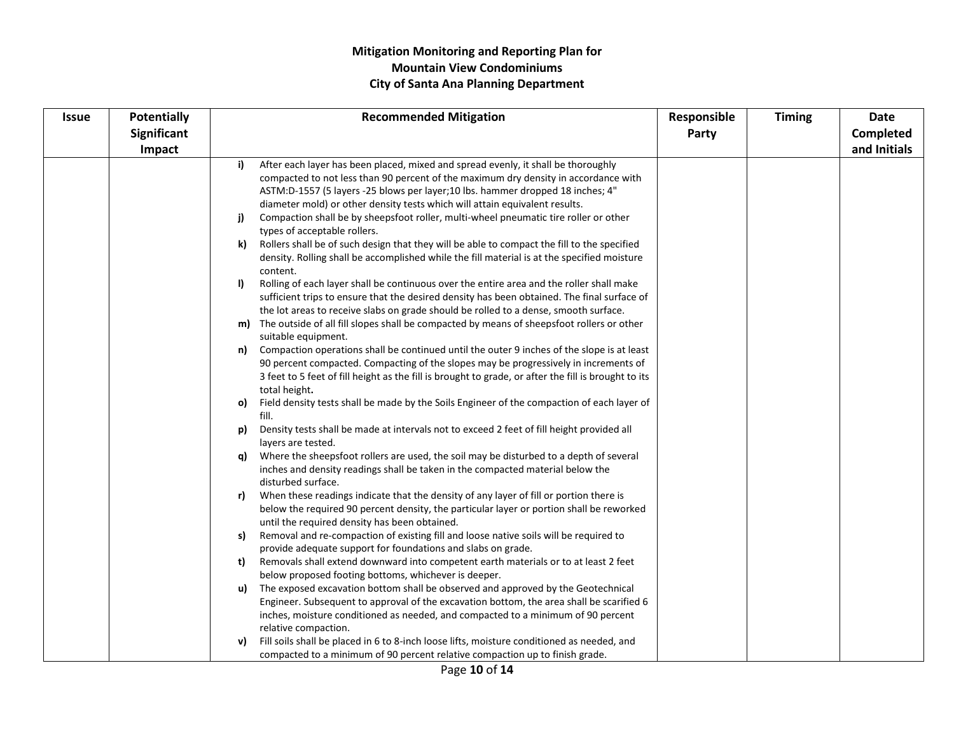| <b>Issue</b> | <b>Potentially</b> | <b>Recommended Mitigation</b>                                                                                                                                                                        | Responsible | <b>Timing</b> | Date         |
|--------------|--------------------|------------------------------------------------------------------------------------------------------------------------------------------------------------------------------------------------------|-------------|---------------|--------------|
|              | Significant        |                                                                                                                                                                                                      | Party       |               | Completed    |
|              | Impact             |                                                                                                                                                                                                      |             |               | and Initials |
|              |                    | After each layer has been placed, mixed and spread evenly, it shall be thoroughly<br>i)                                                                                                              |             |               |              |
|              |                    | compacted to not less than 90 percent of the maximum dry density in accordance with                                                                                                                  |             |               |              |
|              |                    | ASTM:D-1557 (5 layers -25 blows per layer;10 lbs. hammer dropped 18 inches; 4"                                                                                                                       |             |               |              |
|              |                    | diameter mold) or other density tests which will attain equivalent results.                                                                                                                          |             |               |              |
|              |                    | Compaction shall be by sheepsfoot roller, multi-wheel pneumatic tire roller or other<br>j)                                                                                                           |             |               |              |
|              |                    | types of acceptable rollers.                                                                                                                                                                         |             |               |              |
|              |                    | Rollers shall be of such design that they will be able to compact the fill to the specified<br>k)                                                                                                    |             |               |              |
|              |                    | density. Rolling shall be accomplished while the fill material is at the specified moisture<br>content.                                                                                              |             |               |              |
|              |                    | Rolling of each layer shall be continuous over the entire area and the roller shall make<br>$\mathbf{I}$                                                                                             |             |               |              |
|              |                    | sufficient trips to ensure that the desired density has been obtained. The final surface of                                                                                                          |             |               |              |
|              |                    | the lot areas to receive slabs on grade should be rolled to a dense, smooth surface.                                                                                                                 |             |               |              |
|              |                    | m) The outside of all fill slopes shall be compacted by means of sheepsfoot rollers or other<br>suitable equipment.                                                                                  |             |               |              |
|              |                    | Compaction operations shall be continued until the outer 9 inches of the slope is at least<br>n)                                                                                                     |             |               |              |
|              |                    | 90 percent compacted. Compacting of the slopes may be progressively in increments of                                                                                                                 |             |               |              |
|              |                    | 3 feet to 5 feet of fill height as the fill is brought to grade, or after the fill is brought to its                                                                                                 |             |               |              |
|              |                    | total height.                                                                                                                                                                                        |             |               |              |
|              |                    | Field density tests shall be made by the Soils Engineer of the compaction of each layer of<br>O)<br>fill.                                                                                            |             |               |              |
|              |                    | Density tests shall be made at intervals not to exceed 2 feet of fill height provided all<br>p)<br>layers are tested.                                                                                |             |               |              |
|              |                    | Where the sheepsfoot rollers are used, the soil may be disturbed to a depth of several<br>q)<br>inches and density readings shall be taken in the compacted material below the<br>disturbed surface. |             |               |              |
|              |                    | When these readings indicate that the density of any layer of fill or portion there is<br>r)                                                                                                         |             |               |              |
|              |                    | below the required 90 percent density, the particular layer or portion shall be reworked                                                                                                             |             |               |              |
|              |                    | until the required density has been obtained.                                                                                                                                                        |             |               |              |
|              |                    | Removal and re-compaction of existing fill and loose native soils will be required to<br>s)                                                                                                          |             |               |              |
|              |                    | provide adequate support for foundations and slabs on grade.                                                                                                                                         |             |               |              |
|              |                    | Removals shall extend downward into competent earth materials or to at least 2 feet<br>t)                                                                                                            |             |               |              |
|              |                    | below proposed footing bottoms, whichever is deeper.                                                                                                                                                 |             |               |              |
|              |                    | The exposed excavation bottom shall be observed and approved by the Geotechnical<br><b>u</b> )                                                                                                       |             |               |              |
|              |                    | Engineer. Subsequent to approval of the excavation bottom, the area shall be scarified 6                                                                                                             |             |               |              |
|              |                    | inches, moisture conditioned as needed, and compacted to a minimum of 90 percent                                                                                                                     |             |               |              |
|              |                    | relative compaction.<br>Fill soils shall be placed in 6 to 8-inch loose lifts, moisture conditioned as needed, and<br>v)                                                                             |             |               |              |
|              |                    | compacted to a minimum of 90 percent relative compaction up to finish grade.                                                                                                                         |             |               |              |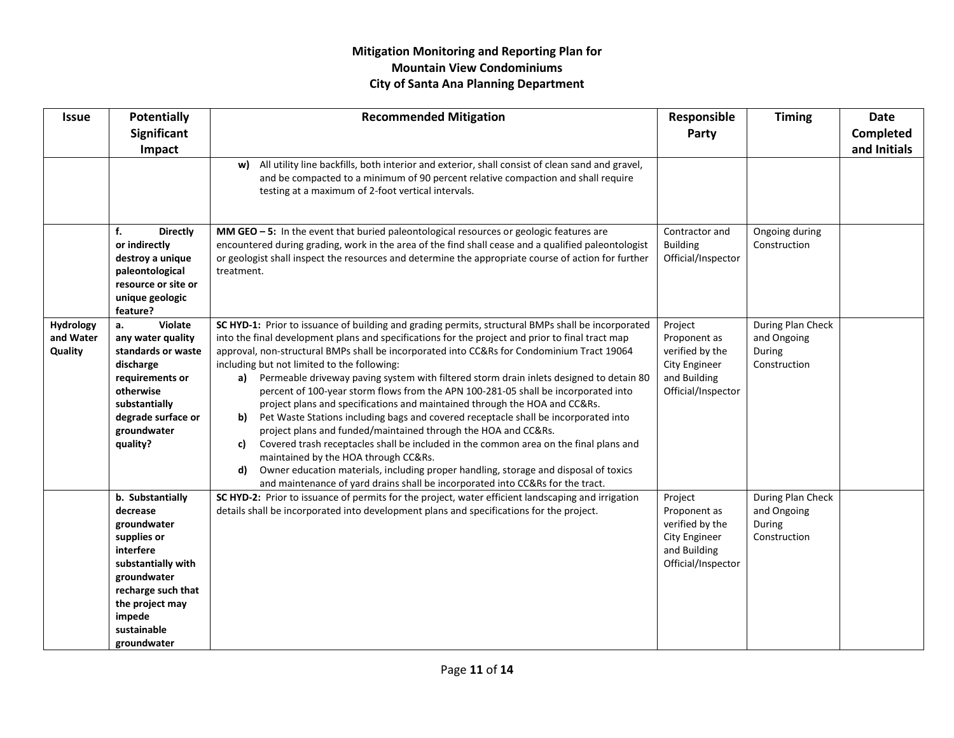| <b>Issue</b>                      | <b>Potentially</b><br>Significant                                                                                                                                                             | <b>Recommended Mitigation</b>                                                                                                                                                                                                                                                                                                                                                                                                                                                                                                                                                                                                                                                                                                                                                                                                                                                                                                                                                                                                                                                                                  | Responsible<br>Party                                                                                     | <b>Timing</b>                                              | <b>Date</b><br>Completed |
|-----------------------------------|-----------------------------------------------------------------------------------------------------------------------------------------------------------------------------------------------|----------------------------------------------------------------------------------------------------------------------------------------------------------------------------------------------------------------------------------------------------------------------------------------------------------------------------------------------------------------------------------------------------------------------------------------------------------------------------------------------------------------------------------------------------------------------------------------------------------------------------------------------------------------------------------------------------------------------------------------------------------------------------------------------------------------------------------------------------------------------------------------------------------------------------------------------------------------------------------------------------------------------------------------------------------------------------------------------------------------|----------------------------------------------------------------------------------------------------------|------------------------------------------------------------|--------------------------|
|                                   | Impact                                                                                                                                                                                        |                                                                                                                                                                                                                                                                                                                                                                                                                                                                                                                                                                                                                                                                                                                                                                                                                                                                                                                                                                                                                                                                                                                |                                                                                                          |                                                            | and Initials             |
|                                   |                                                                                                                                                                                               | w) All utility line backfills, both interior and exterior, shall consist of clean sand and gravel,<br>and be compacted to a minimum of 90 percent relative compaction and shall require<br>testing at a maximum of 2-foot vertical intervals.                                                                                                                                                                                                                                                                                                                                                                                                                                                                                                                                                                                                                                                                                                                                                                                                                                                                  |                                                                                                          |                                                            |                          |
|                                   | f.<br><b>Directly</b><br>or indirectly<br>destroy a unique<br>paleontological<br>resource or site or<br>unique geologic<br>feature?                                                           | MM GEO - 5: In the event that buried paleontological resources or geologic features are<br>encountered during grading, work in the area of the find shall cease and a qualified paleontologist<br>or geologist shall inspect the resources and determine the appropriate course of action for further<br>treatment.                                                                                                                                                                                                                                                                                                                                                                                                                                                                                                                                                                                                                                                                                                                                                                                            | Contractor and<br><b>Building</b><br>Official/Inspector                                                  | Ongoing during<br>Construction                             |                          |
| Hydrology<br>and Water<br>Quality | <b>Violate</b><br>а.<br>any water quality<br>standards or waste<br>discharge<br>requirements or<br>otherwise<br>substantially<br>degrade surface or<br>groundwater<br>quality?                | SC HYD-1: Prior to issuance of building and grading permits, structural BMPs shall be incorporated<br>into the final development plans and specifications for the project and prior to final tract map<br>approval, non-structural BMPs shall be incorporated into CC&Rs for Condominium Tract 19064<br>including but not limited to the following:<br>Permeable driveway paving system with filtered storm drain inlets designed to detain 80<br>a)<br>percent of 100-year storm flows from the APN 100-281-05 shall be incorporated into<br>project plans and specifications and maintained through the HOA and CC&Rs.<br>Pet Waste Stations including bags and covered receptacle shall be incorporated into<br>b)<br>project plans and funded/maintained through the HOA and CC&Rs.<br>Covered trash receptacles shall be included in the common area on the final plans and<br>C)<br>maintained by the HOA through CC&Rs.<br>Owner education materials, including proper handling, storage and disposal of toxics<br>d)<br>and maintenance of yard drains shall be incorporated into CC&Rs for the tract. | Project<br>Proponent as<br>verified by the<br><b>City Engineer</b><br>and Building<br>Official/Inspector | During Plan Check<br>and Ongoing<br>During<br>Construction |                          |
|                                   | b. Substantially<br>decrease<br>groundwater<br>supplies or<br>interfere<br>substantially with<br>groundwater<br>recharge such that<br>the project may<br>impede<br>sustainable<br>groundwater | SC HYD-2: Prior to issuance of permits for the project, water efficient landscaping and irrigation<br>details shall be incorporated into development plans and specifications for the project.                                                                                                                                                                                                                                                                                                                                                                                                                                                                                                                                                                                                                                                                                                                                                                                                                                                                                                                 | Project<br>Proponent as<br>verified by the<br><b>City Engineer</b><br>and Building<br>Official/Inspector | During Plan Check<br>and Ongoing<br>During<br>Construction |                          |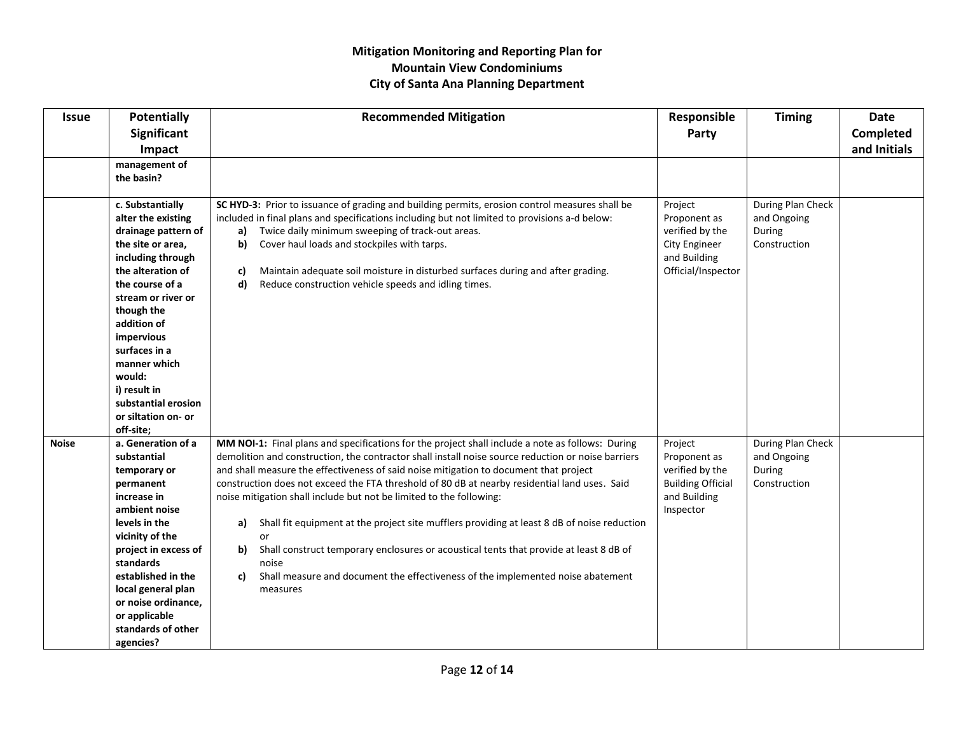| <b>Issue</b> | <b>Potentially</b>                         | <b>Recommended Mitigation</b>                                                                                                                                                                   | Responsible              | <b>Timing</b>                    | <b>Date</b>  |
|--------------|--------------------------------------------|-------------------------------------------------------------------------------------------------------------------------------------------------------------------------------------------------|--------------------------|----------------------------------|--------------|
|              | <b>Significant</b>                         |                                                                                                                                                                                                 | Party                    |                                  | Completed    |
|              | Impact                                     |                                                                                                                                                                                                 |                          |                                  | and Initials |
|              | management of                              |                                                                                                                                                                                                 |                          |                                  |              |
|              | the basin?                                 |                                                                                                                                                                                                 |                          |                                  |              |
|              |                                            |                                                                                                                                                                                                 |                          |                                  |              |
|              | c. Substantially<br>alter the existing     | SC HYD-3: Prior to issuance of grading and building permits, erosion control measures shall be<br>included in final plans and specifications including but not limited to provisions a-d below: | Project<br>Proponent as  | During Plan Check<br>and Ongoing |              |
|              | drainage pattern of                        | Twice daily minimum sweeping of track-out areas.<br>a)                                                                                                                                          | verified by the          | During                           |              |
|              | the site or area,                          | Cover haul loads and stockpiles with tarps.<br>b)                                                                                                                                               | <b>City Engineer</b>     | Construction                     |              |
|              | including through                          |                                                                                                                                                                                                 | and Building             |                                  |              |
|              | the alteration of                          | Maintain adequate soil moisture in disturbed surfaces during and after grading.<br>c)                                                                                                           | Official/Inspector       |                                  |              |
|              | the course of a                            | Reduce construction vehicle speeds and idling times.<br>d)                                                                                                                                      |                          |                                  |              |
|              | stream or river or                         |                                                                                                                                                                                                 |                          |                                  |              |
|              | though the                                 |                                                                                                                                                                                                 |                          |                                  |              |
|              | addition of                                |                                                                                                                                                                                                 |                          |                                  |              |
|              | impervious                                 |                                                                                                                                                                                                 |                          |                                  |              |
|              | surfaces in a                              |                                                                                                                                                                                                 |                          |                                  |              |
|              | manner which                               |                                                                                                                                                                                                 |                          |                                  |              |
|              | would:                                     |                                                                                                                                                                                                 |                          |                                  |              |
|              | i) result in                               |                                                                                                                                                                                                 |                          |                                  |              |
|              | substantial erosion<br>or siltation on- or |                                                                                                                                                                                                 |                          |                                  |              |
|              | off-site;                                  |                                                                                                                                                                                                 |                          |                                  |              |
| <b>Noise</b> | a. Generation of a                         | MM NOI-1: Final plans and specifications for the project shall include a note as follows: During                                                                                                | Project                  | During Plan Check                |              |
|              | substantial                                | demolition and construction, the contractor shall install noise source reduction or noise barriers                                                                                              | Proponent as             | and Ongoing                      |              |
|              | temporary or                               | and shall measure the effectiveness of said noise mitigation to document that project                                                                                                           | verified by the          | During                           |              |
|              | permanent                                  | construction does not exceed the FTA threshold of 80 dB at nearby residential land uses. Said                                                                                                   | <b>Building Official</b> | Construction                     |              |
|              | increase in                                | noise mitigation shall include but not be limited to the following:                                                                                                                             | and Building             |                                  |              |
|              | ambient noise                              |                                                                                                                                                                                                 | Inspector                |                                  |              |
|              | levels in the                              | Shall fit equipment at the project site mufflers providing at least 8 dB of noise reduction<br>a)                                                                                               |                          |                                  |              |
|              | vicinity of the                            | or                                                                                                                                                                                              |                          |                                  |              |
|              | project in excess of                       | Shall construct temporary enclosures or acoustical tents that provide at least 8 dB of<br>b)                                                                                                    |                          |                                  |              |
|              | standards                                  | noise                                                                                                                                                                                           |                          |                                  |              |
|              | established in the                         | Shall measure and document the effectiveness of the implemented noise abatement<br>c)                                                                                                           |                          |                                  |              |
|              | local general plan<br>or noise ordinance,  | measures                                                                                                                                                                                        |                          |                                  |              |
|              | or applicable                              |                                                                                                                                                                                                 |                          |                                  |              |
|              | standards of other                         |                                                                                                                                                                                                 |                          |                                  |              |
|              | agencies?                                  |                                                                                                                                                                                                 |                          |                                  |              |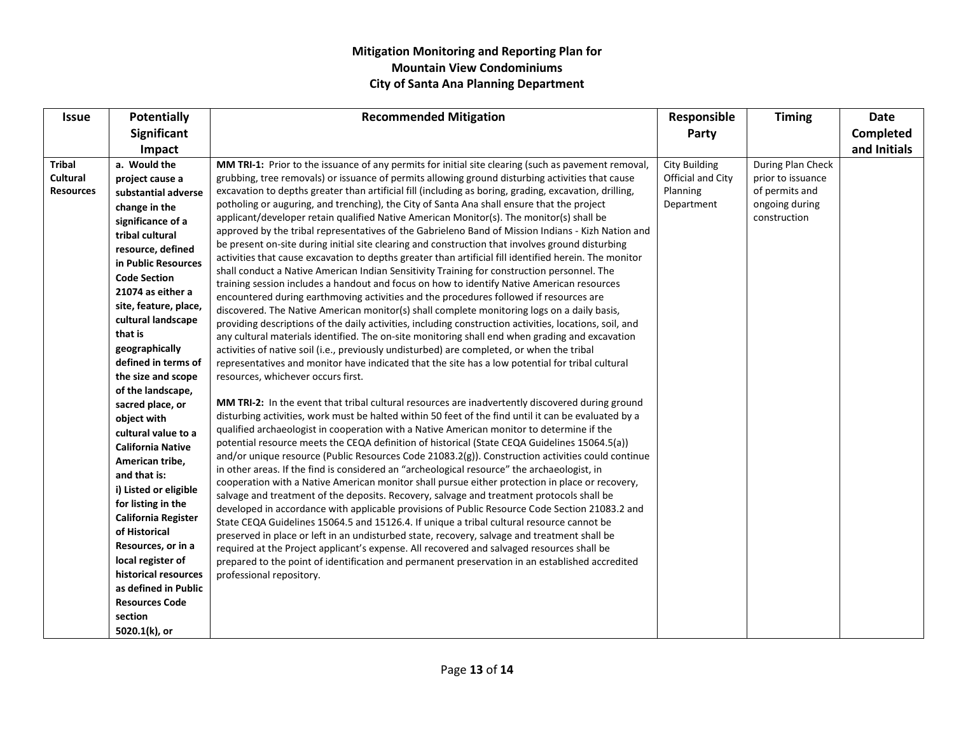| <b>Issue</b>     | <b>Potentially</b>                       | <b>Recommended Mitigation</b>                                                                                                                                                                        | Responsible            | <b>Timing</b>                    | <b>Date</b>  |
|------------------|------------------------------------------|------------------------------------------------------------------------------------------------------------------------------------------------------------------------------------------------------|------------------------|----------------------------------|--------------|
|                  | <b>Significant</b>                       |                                                                                                                                                                                                      | Party                  |                                  | Completed    |
|                  | Impact                                   |                                                                                                                                                                                                      |                        |                                  | and Initials |
| <b>Tribal</b>    | a. Would the                             | MM TRI-1: Prior to the issuance of any permits for initial site clearing (such as pavement removal,                                                                                                  | <b>City Building</b>   | During Plan Check                |              |
| <b>Cultural</b>  | project cause a                          | grubbing, tree removals) or issuance of permits allowing ground disturbing activities that cause                                                                                                     | Official and City      | prior to issuance                |              |
| <b>Resources</b> | substantial adverse                      | excavation to depths greater than artificial fill (including as boring, grading, excavation, drilling,<br>potholing or auguring, and trenching), the City of Santa Ana shall ensure that the project | Planning<br>Department | of permits and<br>ongoing during |              |
|                  | change in the                            | applicant/developer retain qualified Native American Monitor(s). The monitor(s) shall be                                                                                                             |                        | construction                     |              |
|                  | significance of a                        | approved by the tribal representatives of the Gabrieleno Band of Mission Indians - Kizh Nation and                                                                                                   |                        |                                  |              |
|                  | tribal cultural                          | be present on-site during initial site clearing and construction that involves ground disturbing                                                                                                     |                        |                                  |              |
|                  | resource, defined                        | activities that cause excavation to depths greater than artificial fill identified herein. The monitor                                                                                               |                        |                                  |              |
|                  | in Public Resources                      | shall conduct a Native American Indian Sensitivity Training for construction personnel. The                                                                                                          |                        |                                  |              |
|                  | <b>Code Section</b><br>21074 as either a | training session includes a handout and focus on how to identify Native American resources                                                                                                           |                        |                                  |              |
|                  | site, feature, place,                    | encountered during earthmoving activities and the procedures followed if resources are                                                                                                               |                        |                                  |              |
|                  | cultural landscape                       | discovered. The Native American monitor(s) shall complete monitoring logs on a daily basis,                                                                                                          |                        |                                  |              |
|                  | that is                                  | providing descriptions of the daily activities, including construction activities, locations, soil, and                                                                                              |                        |                                  |              |
|                  | geographically                           | any cultural materials identified. The on-site monitoring shall end when grading and excavation<br>activities of native soil (i.e., previously undisturbed) are completed, or when the tribal        |                        |                                  |              |
|                  | defined in terms of                      | representatives and monitor have indicated that the site has a low potential for tribal cultural                                                                                                     |                        |                                  |              |
|                  | the size and scope                       | resources, whichever occurs first.                                                                                                                                                                   |                        |                                  |              |
|                  | of the landscape,                        |                                                                                                                                                                                                      |                        |                                  |              |
|                  | sacred place, or                         | MM TRI-2: In the event that tribal cultural resources are inadvertently discovered during ground                                                                                                     |                        |                                  |              |
|                  | object with                              | disturbing activities, work must be halted within 50 feet of the find until it can be evaluated by a                                                                                                 |                        |                                  |              |
|                  | cultural value to a                      | qualified archaeologist in cooperation with a Native American monitor to determine if the                                                                                                            |                        |                                  |              |
|                  | <b>California Native</b>                 | potential resource meets the CEQA definition of historical (State CEQA Guidelines 15064.5(a))                                                                                                        |                        |                                  |              |
|                  | American tribe,                          | and/or unique resource (Public Resources Code 21083.2(g)). Construction activities could continue                                                                                                    |                        |                                  |              |
|                  | and that is:                             | in other areas. If the find is considered an "archeological resource" the archaeologist, in                                                                                                          |                        |                                  |              |
|                  | i) Listed or eligible                    | cooperation with a Native American monitor shall pursue either protection in place or recovery,<br>salvage and treatment of the deposits. Recovery, salvage and treatment protocols shall be         |                        |                                  |              |
|                  | for listing in the                       | developed in accordance with applicable provisions of Public Resource Code Section 21083.2 and                                                                                                       |                        |                                  |              |
|                  | <b>California Register</b>               | State CEQA Guidelines 15064.5 and 15126.4. If unique a tribal cultural resource cannot be                                                                                                            |                        |                                  |              |
|                  | of Historical                            | preserved in place or left in an undisturbed state, recovery, salvage and treatment shall be                                                                                                         |                        |                                  |              |
|                  | Resources, or in a                       | required at the Project applicant's expense. All recovered and salvaged resources shall be                                                                                                           |                        |                                  |              |
|                  | local register of                        | prepared to the point of identification and permanent preservation in an established accredited                                                                                                      |                        |                                  |              |
|                  | historical resources                     | professional repository.                                                                                                                                                                             |                        |                                  |              |
|                  | as defined in Public                     |                                                                                                                                                                                                      |                        |                                  |              |
|                  | <b>Resources Code</b>                    |                                                                                                                                                                                                      |                        |                                  |              |
|                  | section                                  |                                                                                                                                                                                                      |                        |                                  |              |
|                  | 5020.1(k), or                            |                                                                                                                                                                                                      |                        |                                  |              |